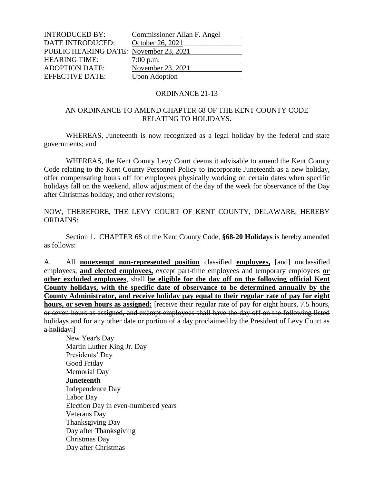| <b>INTRODUCED BY:</b>                  | Commissioner Allan F. Angel |
|----------------------------------------|-----------------------------|
| <b>DATE INTRODUCED:</b>                | October 26, 2021            |
| PUBLIC HEARING DATE: November 23, 2021 |                             |
| <b>HEARING TIME:</b>                   | $7:00$ p.m.                 |
| <b>ADOPTION DATE:</b>                  | November 23, 2021           |
| <b>EFFECTIVE DATE:</b>                 | <b>Upon Adoption</b>        |

#### ORDINANCE 21-13

### AN ORDINANCE TO AMEND CHAPTER 68 OF THE KENT COUNTY CODE RELATING TO HOLIDAYS.

WHEREAS, Juneteenth is now recognized as a legal holiday by the federal and state governments; and

WHEREAS, the Kent County Levy Court deems it advisable to amend the Kent County Code relating to the Kent County Personnel Policy to incorporate Juneteenth as a new holiday, offer compensating hours off for employees physically working on certain dates when specific holidays fall on the weekend, allow adjustment of the day of the week for observance of the Day after Christmas holiday, and other revisions;

NOW, THEREFORE, THE LEVY COURT OF KENT COUNTY, DELAWARE, HEREBY ORDAINS:

Section 1. CHAPTER 68 of the Kent County Code, **§68-20 Holidays** is hereby amended as follows:

A. All **nonexempt non-represented position** classified **employees,** [and] unclassified employees, **and elected employees,** except part-time employees and temporary employees **or other excluded employees**, shall **be eligible for the day off on the following official Kent County holidays, with the specific date of observance to be determined annually by the County Administrator, and receive holiday pay equal to their regular rate of pay for eight hours, or seven hours as assigned:** [receive their regular rate of pay for eight hours, 7.5 hours, or seven hours as assigned, and exempt employees shall have the day off on the following listed holidays and for any other date or portion of a day proclaimed by the President of Levy Court as a holiday:]

New Year's Day Martin Luther King Jr. Day Presidents' Day Good Friday Memorial Day **Juneteenth** Independence Day Labor Day Election Day in even-numbered years Veterans Day Thanksgiving Day Day after Thanksgiving Christmas Day Day after Christmas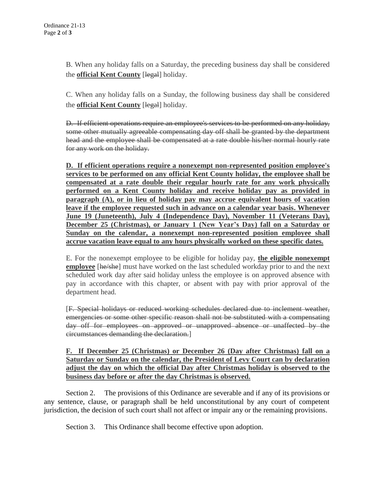B. When any holiday falls on a Saturday, the preceding business day shall be considered the **official Kent County** [legal] holiday.

C. When any holiday falls on a Sunday, the following business day shall be considered the **official Kent County** [legal] holiday.

D. If efficient operations require an employee's services to be performed on any holiday, some other mutually agreeable compensating day off shall be granted by the department head and the employee shall be compensated at a rate double his/her normal hourly rate for any work on the holiday.

**D. If efficient operations require a nonexempt non-represented position employee's services to be performed on any official Kent County holiday, the employee shall be compensated at a rate double their regular hourly rate for any work physically performed on a Kent County holiday and receive holiday pay as provided in paragraph (A), or in lieu of holiday pay may accrue equivalent hours of vacation leave if the employee requested such in advance on a calendar year basis. Whenever June 19 (Juneteenth), July 4 (Independence Day), November 11 (Veterans Day), December 25 (Christmas), or January 1 (New Year's Day) fall on a Saturday or Sunday on the calendar, a nonexempt non-represented position employee shall accrue vacation leave equal to any hours physically worked on these specific dates.** 

E. For the nonexempt employee to be eligible for holiday pay, **the eligible nonexempt employee** [he/she] must have worked on the last scheduled workday prior to and the next scheduled work day after said holiday unless the employee is on approved absence with pay in accordance with this chapter, or absent with pay with prior approval of the department head.

[F. Special holidays or reduced working schedules declared due to inclement weather, emergencies or some other specific reason shall not be substituted with a compensating day off for employees on approved or unapproved absence or unaffected by the circumstances demanding the declaration.]

## **F. If December 25 (Christmas) or December 26 (Day after Christmas) fall on a Saturday or Sunday on the calendar, the President of Levy Court can by declaration adjust the day on which the official Day after Christmas holiday is observed to the business day before or after the day Christmas is observed.**

Section 2. The provisions of this Ordinance are severable and if any of its provisions or any sentence, clause, or paragraph shall be held unconstitutional by any court of competent jurisdiction, the decision of such court shall not affect or impair any or the remaining provisions.

Section 3. This Ordinance shall become effective upon adoption.